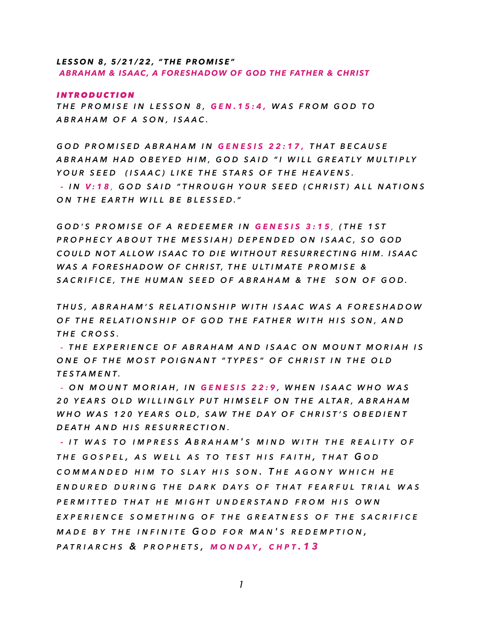## *LESSON 8, 5/21/22, "THE PROMISE" ABRAHAM & ISAAC, A FORESHADOW OF GOD THE FATHER & CHRIST*

### *INTRODUCTION*

*THE PROMISE IN LESSON 8, GEN.15:4, WAS FROM GOD TO ABRAHAM OF A SON, ISAAC.*

*GOD PROMISED ABRAHAM IN GENESIS 22:17, THAT BECAUSE ABRAHAM HAD OBEYED HIM, GOD SAID "I WILL GREATLY MULTIPLY YOUR SEED (ISAAC) LIKE THE STARS OF THE HEAVENS. - I N V:18 , GOD SAID "THROUGH YOUR SEED (CHRIST) ALL NATIONS ON THE EARTH WILL BE BLESSED."*

*GOD'S PROMISE OF A REDEEMER IN GENESIS 3:15 , (THE 1ST PROPHECY ABOUT THE MESSIAH) DEPENDED ON ISAAC, SO GOD COULD NOT ALLOW ISAAC TO DIE WITHOUT RESURRECTING HIM. ISAAC WAS A FORESHADOW OF CHRIST, THE ULTIMATE PROMISE & SACRIFICE, THE HUMAN SEED OF ABRAHAM & THE SON OF GOD.*

*THUS, ABRAHAM'S RELATIONSHIP WITH ISAAC WAS A FORESHADOW OF THE RELATIONSHIP OF GOD THE FATHER WITH HIS SON, AND THE CROSS.* 

*- THE EXPERIENCE OF ABRAHAM AND ISAAC ON MOUNT MORIAH IS ONE OF THE MOST POIGNANT "TYPES" OF CHRIST IN THE OLD TESTAMENT.*

*- ON MOUNT MORIAH, IN GENESIS 22:9 , WHEN ISAAC WHO WAS 20 YEARS OLD WILLINGLY PUT HIMSELF ON THE ALTAR, ABRAHAM WHO WAS 120 YEARS OLD, SAW THE DAY OF CHRIST'S OBEDIENT DEATH AND HIS RESURRECTION.*

*- I T WAS T O IMPRESS A BRAHAM ' S MIND WITH THE REALITY O F THE GOSPEL , A S WELL A S T O TEST HIS FAITH , THAT G O D COMMANDED HIM T O SLAY HIS SON . T H E AGONY WHICH H E ENDURED DURING THE DARK DAYS O F THAT FEARFUL TRIAL WAS PERMITTED THAT H E MIGHT UNDERSTAND FROM HIS OWN EXPERIENCE SOMETHING O F THE GREATNESS O F THE SACRIFICE MADE B Y THE INFINITE G O D FOR MAN ' S REDEMPTION , PATRIARCHS & PROPHETS , MONDAY , CHPT .13*

*1*